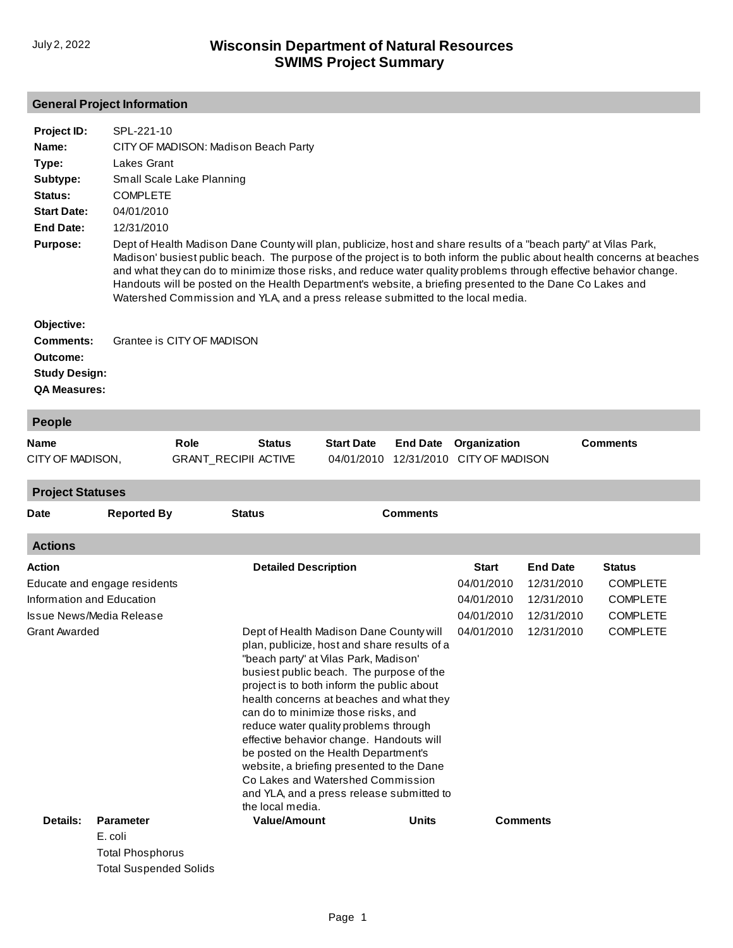## **General Project Information**

| Project ID:<br>Name:<br>Type:<br>Subtype:<br>Status:<br><b>Start Date:</b><br>End Date:<br><b>Purpose:</b> | SPL-221-10<br>CITY OF MADISON: Madison Beach Party<br>Lakes Grant<br>Small Scale Lake Planning<br><b>COMPLETE</b><br>04/01/2010<br>12/31/2010<br>Dept of Health Madison Dane County will plan, publicize, host and share results of a "beach party" at Vilas Park,<br>Madison' busiest public beach. The purpose of the project is to both inform the public about health concerns at beaches<br>and what they can do to minimize those risks, and reduce water quality problems through effective behavior change.<br>Handouts will be posted on the Health Department's website, a briefing presented to the Dane Co Lakes and |
|------------------------------------------------------------------------------------------------------------|----------------------------------------------------------------------------------------------------------------------------------------------------------------------------------------------------------------------------------------------------------------------------------------------------------------------------------------------------------------------------------------------------------------------------------------------------------------------------------------------------------------------------------------------------------------------------------------------------------------------------------|
| Objective:<br>Comments:<br>Outcome:<br><b>Study Design:</b><br><b>QA Measures:</b>                         | Watershed Commission and YLA, and a press release submitted to the local media.<br>Grantee is CITY OF MADISON                                                                                                                                                                                                                                                                                                                                                                                                                                                                                                                    |

| <b>People</b>    |                            |               |                   |                                       |                 |
|------------------|----------------------------|---------------|-------------------|---------------------------------------|-----------------|
| Name             | Role                       | <b>Status</b> | <b>Start Date</b> | <b>End Date</b> Organization          | <b>Comments</b> |
| CITY OF MADISON. | <b>GRANT RECIPILACTIVE</b> |               |                   | 04/01/2010 12/31/2010 CITY OF MADISON |                 |

**Project Statuses**

| <b>Date</b>               | <b>Reported By</b>           | <b>Status</b>               | <b>Comments</b>                                                                                                                                                                                                                                                                                                                                                                                                                                                                                                                                                           |              |                 |                 |  |
|---------------------------|------------------------------|-----------------------------|---------------------------------------------------------------------------------------------------------------------------------------------------------------------------------------------------------------------------------------------------------------------------------------------------------------------------------------------------------------------------------------------------------------------------------------------------------------------------------------------------------------------------------------------------------------------------|--------------|-----------------|-----------------|--|
| <b>Actions</b>            |                              |                             |                                                                                                                                                                                                                                                                                                                                                                                                                                                                                                                                                                           |              |                 |                 |  |
| Action                    |                              | <b>Detailed Description</b> |                                                                                                                                                                                                                                                                                                                                                                                                                                                                                                                                                                           | <b>Start</b> | <b>End Date</b> | <b>Status</b>   |  |
|                           | Educate and engage residents |                             |                                                                                                                                                                                                                                                                                                                                                                                                                                                                                                                                                                           |              | 12/31/2010      | <b>COMPLETE</b> |  |
| Information and Education |                              |                             |                                                                                                                                                                                                                                                                                                                                                                                                                                                                                                                                                                           |              | 12/31/2010      | <b>COMPLETE</b> |  |
| Issue News/Media Release  |                              |                             |                                                                                                                                                                                                                                                                                                                                                                                                                                                                                                                                                                           |              | 12/31/2010      | <b>COMPLETE</b> |  |
| <b>Grant Awarded</b>      |                              | the local media.            | Dept of Health Madison Dane County will<br>plan, publicize, host and share results of a<br>"beach party" at Vilas Park, Madison'<br>busiest public beach. The purpose of the<br>project is to both inform the public about<br>health concerns at beaches and what they<br>can do to minimize those risks, and<br>reduce water quality problems through<br>effective behavior change. Handouts will<br>be posted on the Health Department's<br>website, a briefing presented to the Dane<br>Co Lakes and Watershed Commission<br>and YLA, and a press release submitted to |              |                 | <b>COMPLETE</b> |  |
| <b>Details:</b>           | <b>Parameter</b>             | <b>Value/Amount</b>         | <b>Units</b>                                                                                                                                                                                                                                                                                                                                                                                                                                                                                                                                                              |              | <b>Comments</b> |                 |  |
|                           | E. coli<br>Total Phoenhorue  |                             |                                                                                                                                                                                                                                                                                                                                                                                                                                                                                                                                                                           |              |                 |                 |  |

Total Phosphorus Total Suspended Solids